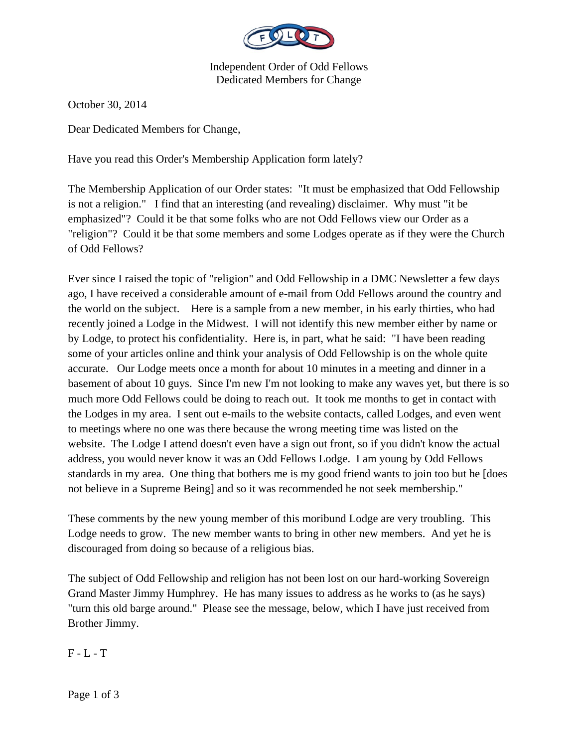

Independent Order of Odd Fellows Dedicated Members for Change

October 30, 2014

Dear Dedicated Members for Change,

Have you read this Order's Membership Application form lately?

The Membership Application of our Order states: "It must be emphasized that Odd Fellowship is not a religion." I find that an interesting (and revealing) disclaimer. Why must "it be emphasized"? Could it be that some folks who are not Odd Fellows view our Order as a "religion"? Could it be that some members and some Lodges operate as if they were the Church of Odd Fellows?

Ever since I raised the topic of "religion" and Odd Fellowship in a DMC Newsletter a few days ago, I have received a considerable amount of e-mail from Odd Fellows around the country and the world on the subject. Here is a sample from a new member, in his early thirties, who had recently joined a Lodge in the Midwest. I will not identify this new member either by name or by Lodge, to protect his confidentiality. Here is, in part, what he said: "I have been reading some of your articles online and think your analysis of Odd Fellowship is on the whole quite accurate. Our Lodge meets once a month for about 10 minutes in a meeting and dinner in a basement of about 10 guys. Since I'm new I'm not looking to make any waves yet, but there is so much more Odd Fellows could be doing to reach out. It took me months to get in contact with the Lodges in my area. I sent out e-mails to the website contacts, called Lodges, and even went to meetings where no one was there because the wrong meeting time was listed on the website. The Lodge I attend doesn't even have a sign out front, so if you didn't know the actual address, you would never know it was an Odd Fellows Lodge. I am young by Odd Fellows standards in my area. One thing that bothers me is my good friend wants to join too but he [does not believe in a Supreme Being] and so it was recommended he not seek membership."

These comments by the new young member of this moribund Lodge are very troubling. This Lodge needs to grow. The new member wants to bring in other new members. And yet he is discouraged from doing so because of a religious bias.

The subject of Odd Fellowship and religion has not been lost on our hard-working Sovereign Grand Master Jimmy Humphrey. He has many issues to address as he works to (as he says) "turn this old barge around." Please see the message, below, which I have just received from Brother Jimmy.

 $F - L - T$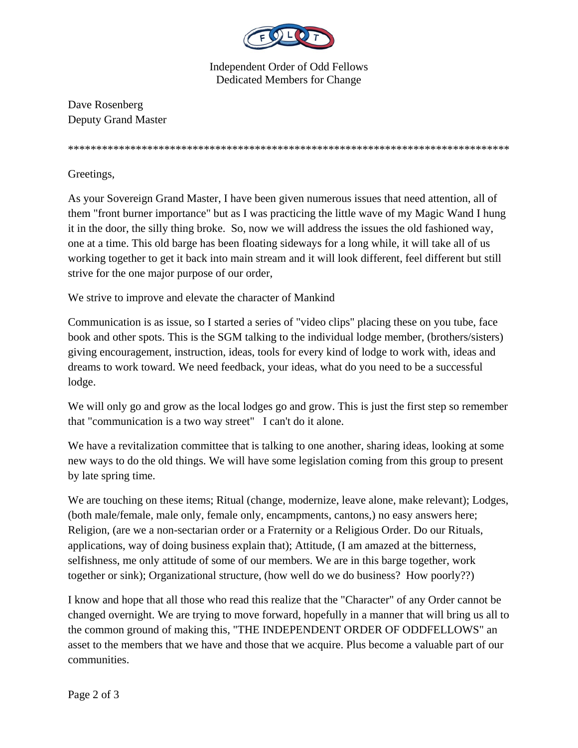

Independent Order of Odd Fellows Dedicated Members for Change

Dave Rosenberg Deputy Grand Master

\*\*\*\*\*\*\*\*\*\*\*\*\*\*\*\*\*\*\*\*\*\*\*\*\*\*\*\*\*\*\*\*\*\*\*\*\*\*\*\*\*\*\*\*\*\*\*\*\*\*\*\*\*\*\*\*\*\*\*\*\*\*\*\*\*\*\*\*\*\*\*\*\*\*\*\*\*\*

Greetings,

As your Sovereign Grand Master, I have been given numerous issues that need attention, all of them "front burner importance" but as I was practicing the little wave of my Magic Wand I hung it in the door, the silly thing broke. So, now we will address the issues the old fashioned way, one at a time. This old barge has been floating sideways for a long while, it will take all of us working together to get it back into main stream and it will look different, feel different but still strive for the one major purpose of our order,

We strive to improve and elevate the character of Mankind

Communication is as issue, so I started a series of "video clips" placing these on you tube, face book and other spots. This is the SGM talking to the individual lodge member, (brothers/sisters) giving encouragement, instruction, ideas, tools for every kind of lodge to work with, ideas and dreams to work toward. We need feedback, your ideas, what do you need to be a successful lodge.

We will only go and grow as the local lodges go and grow. This is just the first step so remember that "communication is a two way street" I can't do it alone.

We have a revitalization committee that is talking to one another, sharing ideas, looking at some new ways to do the old things. We will have some legislation coming from this group to present by late spring time.

We are touching on these items; Ritual (change, modernize, leave alone, make relevant); Lodges, (both male/female, male only, female only, encampments, cantons,) no easy answers here; Religion, (are we a non-sectarian order or a Fraternity or a Religious Order. Do our Rituals, applications, way of doing business explain that); Attitude, (I am amazed at the bitterness, selfishness, me only attitude of some of our members. We are in this barge together, work together or sink); Organizational structure, (how well do we do business? How poorly??)

I know and hope that all those who read this realize that the "Character" of any Order cannot be changed overnight. We are trying to move forward, hopefully in a manner that will bring us all to the common ground of making this, "THE INDEPENDENT ORDER OF ODDFELLOWS" an asset to the members that we have and those that we acquire. Plus become a valuable part of our communities.